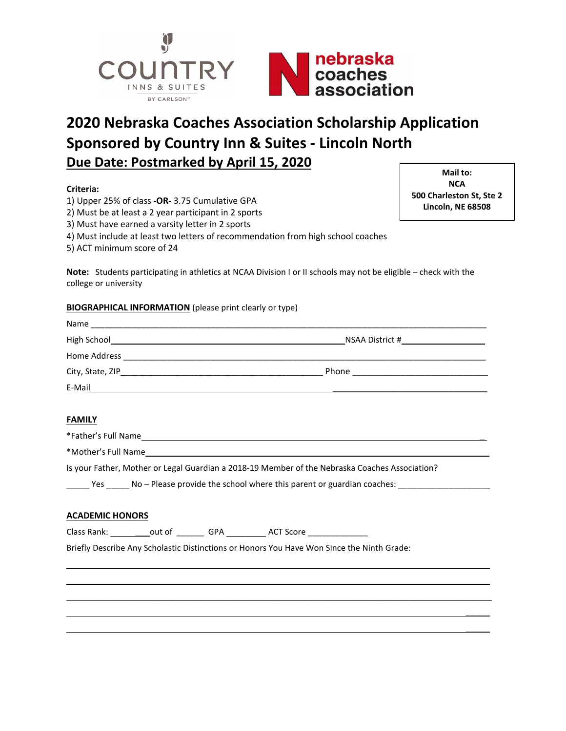

# **2020 Nebraska Coaches Association Scholarship Application Sponsored by Country Inn & Suites - Lincoln North Due Date: Postmarked by April 15, 2020**

## **Criteria:**

- 1) Upper 25% of class **-OR-** 3.75 Cumulative GPA
- 2) Must be at least a 2 year participant in 2 sports
- 3) Must have earned a varsity letter in 2 sports
- 4) Must include at least two letters of recommendation from high school coaches
- 5) ACT minimum score of 24

**Note:** Students participating in athletics at NCAA Division I or II schools may not be eligible – check with the college or university

### **BIOGRAPHICAL INFORMATION** (please print clearly or type)

| Name             |                 |
|------------------|-----------------|
| High School      | NSAA District # |
| Home Address     |                 |
| City, State, ZIP | Phone           |
| E-Mail           |                 |

#### **FAMILY**

\*Father's Full Name \_

\_\_\_\_\_\_\_\_\_\_\_\_\_\_\_\_\_\_\_\_\_\_\_\_\_\_\_\_\_\_\_\_\_\_\_\_\_\_\_\_\_\_\_\_\_\_\_\_\_\_\_\_\_\_\_\_\_\_\_\_\_\_\_\_\_\_\_\_\_\_\_\_\_\_\_\_\_\_\_\_\_\_\_\_\_\_\_\_

\*Mother's Full Name \_

Is your Father, Mother or Legal Guardian a 2018-19 Member of the Nebraska Coaches Association?

 $\Box$  Yes  $\Box$  No – Please provide the school where this parent or guardian coaches:  $\Box$ 

## **ACADEMIC HONORS**

Class Rank: \_\_\_\_\_\_\_\_\_\_out of \_\_\_\_\_\_\_\_ GPA \_\_\_\_\_\_\_\_\_\_ ACT Score \_\_\_\_\_\_\_\_\_\_\_\_\_\_\_\_\_

Briefly Describe Any Scholastic Distinctions or Honors You Have Won Since the Ninth Grade:

**Mail to: NCA 500 Charleston St, Ste 2 Lincoln, NE 68508**

> $\overline{\phantom{a}}$  $\overline{\phantom{a}}$

> $\overline{\phantom{a}}$  $\overline{\phantom{a}}$